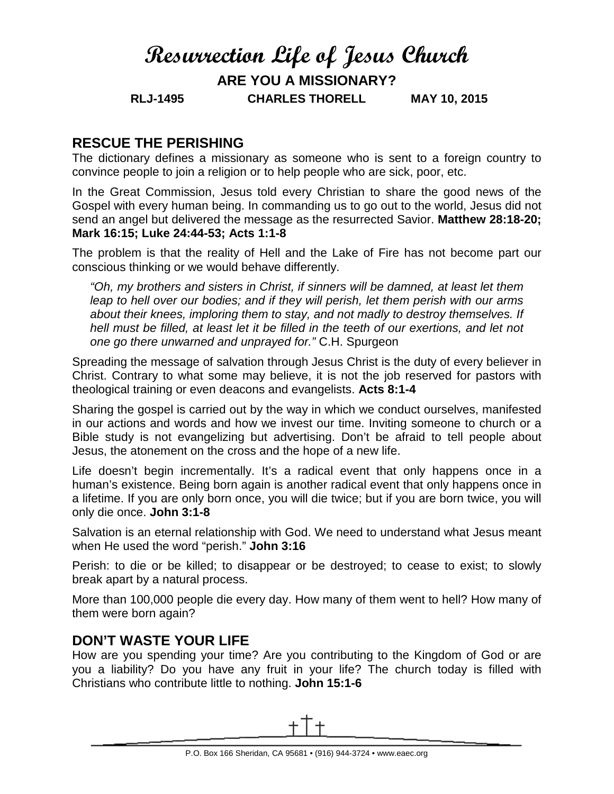# **Resurrection Life of Jesus Church**

**ARE YOU A MISSIONARY?**

**RLJ-1495 CHARLES THORELL MAY 10, 2015**

### **RESCUE THE PERISHING**

The dictionary defines a missionary as someone who is sent to a foreign country to convince people to join a religion or to help people who are sick, poor, etc.

In the Great Commission, Jesus told every Christian to share the good news of the Gospel with every human being. In commanding us to go out to the world, Jesus did not send an angel but delivered the message as the resurrected Savior. **Matthew 28:18-20; Mark 16:15; Luke 24:44-53; Acts 1:1-8**

The problem is that the reality of Hell and the Lake of Fire has not become part our conscious thinking or we would behave differently.

*"Oh, my brothers and sisters in Christ, if sinners will be damned, at least let them leap to hell over our bodies; and if they will perish, let them perish with our arms about their knees, imploring them to stay, and not madly to destroy themselves. If*  hell must be filled, at least let it be filled in the teeth of our exertions, and let not *one go there unwarned and unprayed for."* C.H. Spurgeon

Spreading the message of salvation through Jesus Christ is the duty of every believer in Christ. Contrary to what some may believe, it is not the job reserved for pastors with theological training or even deacons and evangelists. **Acts 8:1-4**

Sharing the gospel is carried out by the way in which we conduct ourselves, manifested in our actions and words and how we invest our time. Inviting someone to church or a Bible study is not evangelizing but advertising. Don't be afraid to tell people about Jesus, the atonement on the cross and the hope of a new life.

Life doesn't begin incrementally. It's a radical event that only happens once in a human's existence. Being born again is another radical event that only happens once in a lifetime. If you are only born once, you will die twice; but if you are born twice, you will only die once. **John 3:1-8**

Salvation is an eternal relationship with God. We need to understand what Jesus meant when He used the word "perish." **John 3:16**

Perish: to die or be killed; to disappear or be destroyed; to cease to exist; to slowly break apart by a natural process.

More than 100,000 people die every day. How many of them went to hell? How many of them were born again?

# **DON'T WASTE YOUR LIFE**

How are you spending your time? Are you contributing to the Kingdom of God or are you a liability? Do you have any fruit in your life? The church today is filled with Christians who contribute little to nothing. **John 15:1-6**